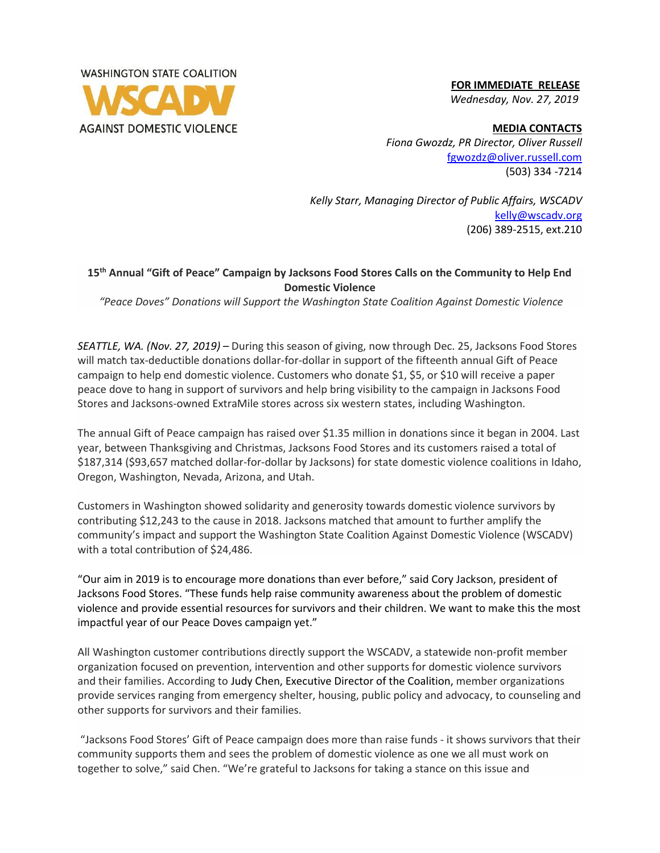

 **FOR IMMEDIATE RELEASE**  *Wednesday, Nov. 27, 2019*

**MEDIA CONTACTS** *Fiona Gwozdz, PR Director, Oliver Russell* [fgwozdz@oliver.russell.com](mailto:fgwozdz@oliver.russell.com) (503) 334 -7214

*Kelly Starr, Managing Director of Public Affairs, WSCADV* [kelly@wscadv.org](mailto:kelly@wscadv.org) (206) 389-2515, ext.210

## **15th Annual "Gift of Peace" Campaign by Jacksons Food Stores Calls on the Community to Help End Domestic Violence**

*"Peace Doves" Donations will Support the Washington State Coalition Against Domestic Violence*

*SEATTLE, WA. (Nov. 27, 2019) –* During this season of giving, now through Dec. 25, Jacksons Food Stores will match tax-deductible donations dollar-for-dollar in support of the fifteenth annual Gift of Peace campaign to help end domestic violence. Customers who donate \$1, \$5, or \$10 will receive a paper peace dove to hang in support of survivors and help bring visibility to the campaign in Jacksons Food Stores and Jacksons-owned ExtraMile stores across six western states, including Washington.

The annual Gift of Peace campaign has raised over \$1.35 million in donations since it began in 2004. Last year, between Thanksgiving and Christmas, Jacksons Food Stores and its customers raised a total of \$187,314 (\$93,657 matched dollar-for-dollar by Jacksons) for state domestic violence coalitions in Idaho, Oregon, Washington, Nevada, Arizona, and Utah.

Customers in Washington showed solidarity and generosity towards domestic violence survivors by contributing \$12,243 to the cause in 2018. Jacksons matched that amount to further amplify the community's impact and support the Washington State Coalition Against Domestic Violence (WSCADV) with a total contribution of \$24,486.

"Our aim in 2019 is to encourage more donations than ever before," said Cory Jackson, president of Jacksons Food Stores. "These funds help raise community awareness about the problem of domestic violence and provide essential resources for survivors and their children. We want to make this the most impactful year of our Peace Doves campaign yet."

All Washington customer contributions directly support the WSCADV, a statewide non-profit member organization focused on prevention, intervention and other supports for domestic violence survivors and their families. According to Judy Chen, Executive Director of the Coalition, member organizations provide services ranging from emergency shelter, housing, public policy and advocacy, to counseling and other supports for survivors and their families.

"Jacksons Food Stores' Gift of Peace campaign does more than raise funds - it shows survivors that their community supports them and sees the problem of domestic violence as one we all must work on together to solve," said Chen. "We're grateful to Jacksons for taking a stance on this issue and